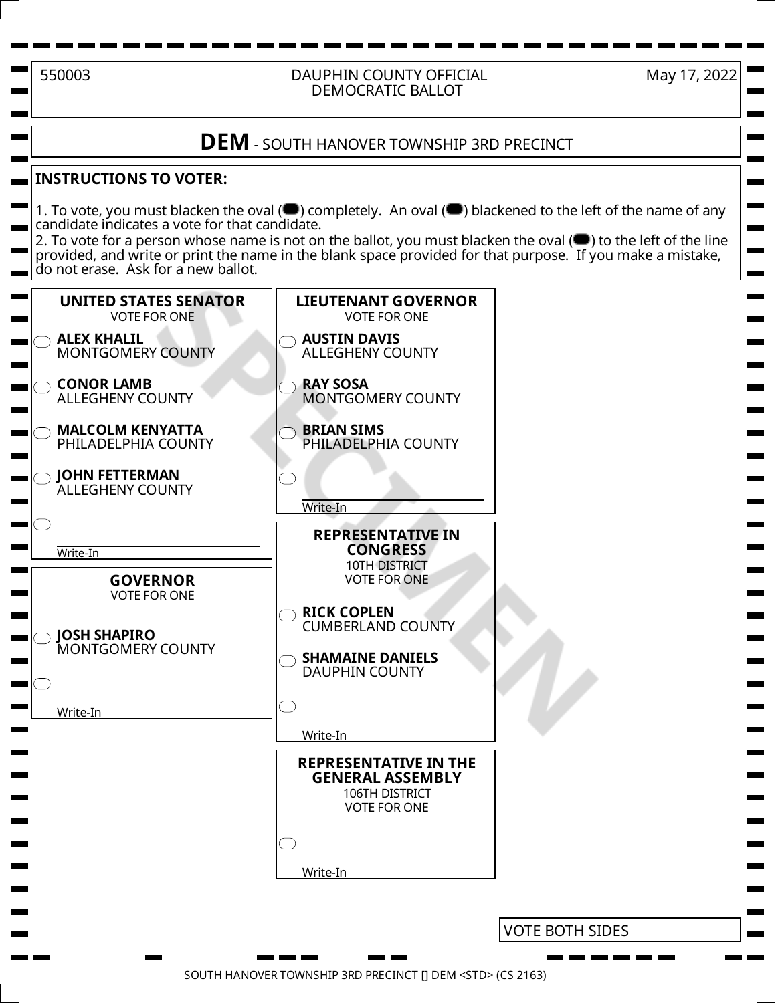## 550003 DAUPHIN COUNTY OFFICIAL DEMOCRATIC BALLOT

## **DEM** - SOUTH HANOVER TOWNSHIP 3RD PRECINCT **INSTRUCTIONS TO VOTER:** 1. To vote, you must blacken the oval ( $\bigcirc$ ) completely. An oval ( $\bigcirc$ ) blackened to the left of the name of any candidate indicates a vote for that candidate. 2. To vote for a person whose name is not on the ballot, you must blacken the oval  $(\blacksquare)$  to the left of the line provided, and write or print the name in the blank space provided for that purpose. If you make a mistake, do not erase. Ask for a new ballot. **UNITED STATES SENATOR** VOTE FOR ONE **ALEX KHALIL** MONTGOMERY COUNTY  $\frown$  **CONOR LAMB** ALLEGHENY COUNTY  $\frown$  **MALCOLM KENYATTA** PHILADELPHIA COUNTY **JOHN FETTERMAN** ALLEGHENY COUNTY Write-In **GOVERNOR** VOTE FOR ONE **JOSH SHAPIRO** MONTGOMERY COUNTY Write-In **LIEUTENANT GOVERNOR** VOTE FOR ONE **AUSTIN DAVIS** ALLEGHENY COUNTY **RAY SOSA** MONTGOMERY COUNTY **BRIAN SIMS** PHILADELPHIA COUNTY Write-In **REPRESENTATIVE IN CONGRESS** 10TH DISTRICT VOTE FOR ONE **RICK COPLEN** CUMBERLAND COUNTY **SHAMAINE DANIELS** DAUPHIN COUNTY Write-In **REPRESENTATIVE IN THE GENERAL ASSEMBLY** 106TH DISTRICT VOTE FOR ONE Write-In

VOTE BOTH SIDES